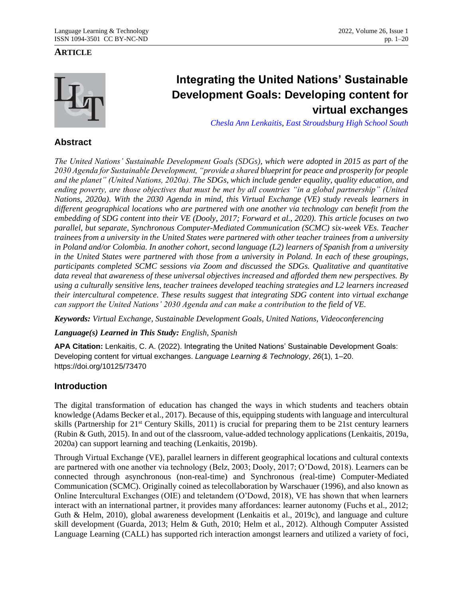### **ARTICLE**



# **Integrating the United Nations' Sustainable Development Goals: Developing content for virtual exchanges**

*[Chesla Ann Lenkaitis,](http://chesla-lenkaitis@esasd.net/) [East Stroudsburg High School South](https://www.esasd.net/Domain/17)*

## **Abstract**

*The United Nations' Sustainable Development Goals (SDGs), which were adopted in 2015 as part of the 2030 Agenda for Sustainable Development, "provide a shared blueprint for peace and prosperity for people and the planet" (United Nations, 2020a). The SDGs, which include gender equality, quality education, and ending poverty, are those objectives that must be met by all countries "in a global partnership" (United Nations, 2020a). With the 2030 Agenda in mind, this Virtual Exchange (VE) study reveals learners in different geographical locations who are partnered with one another via technology can benefit from the embedding of SDG content into their VE (Dooly, 2017; Forward et al., 2020). This article focuses on two parallel, but separate, Synchronous Computer-Mediated Communication (SCMC) six-week VEs. Teacher trainees from a university in the United States were partnered with other teacher trainees from a university in Poland and/or Colombia. In another cohort, second language (L2) learners of Spanish from a university in the United States were partnered with those from a university in Poland. In each of these groupings, participants completed SCMC sessions via Zoom and discussed the SDGs. Qualitative and quantitative data reveal that awareness of these universal objectives increased and afforded them new perspectives. By using a culturally sensitive lens, teacher trainees developed teaching strategies and L2 learners increased their intercultural competence. These results suggest that integrating SDG content into virtual exchange can support the United Nations' 2030 Agenda and can make a contribution to the field of VE.*

*Keywords: Virtual Exchange, Sustainable Development Goals, United Nations, Videoconferencing*

*Language(s) Learned in This Study: English, Spanish*

**APA Citation:** Lenkaitis, C. A. (2022). Integrating the United Nations' Sustainable Development Goals: Developing content for virtual exchanges. *Language Learning & Technology*, *26*(1), 1–20. https://doi.org/10125/73470

## **Introduction**

The digital transformation of education has changed the ways in which students and teachers obtain knowledge (Adams Becker et al., 2017). Because of this, equipping students with language and intercultural skills (Partnership for 21st Century Skills, 2011) is crucial for preparing them to be 21st century learners (Rubin & Guth, 2015). In and out of the classroom, value-added technology applications (Lenkaitis, 2019a, 2020a) can support learning and teaching (Lenkaitis, 2019b).

Through Virtual Exchange (VE), parallel learners in different geographical locations and cultural contexts are partnered with one another via technology (Belz, 2003; Dooly, 2017; O'Dowd, 2018). Learners can be connected through asynchronous (non-real-time) and Synchronous (real-time) Computer-Mediated Communication (SCMC). Originally coined as telecollaboration by Warschauer (1996), and also known as Online Intercultural Exchanges (OIE) and teletandem (O'Dowd, 2018), VE has shown that when learners interact with an international partner, it provides many affordances: learner autonomy (Fuchs et al., 2012; Guth & Helm, 2010), global awareness development (Lenkaitis et al., 2019c), and language and culture skill development (Guarda, 2013; Helm & Guth, 2010; Helm et al., 2012). Although Computer Assisted Language Learning (CALL) has supported rich interaction amongst learners and utilized a variety of foci,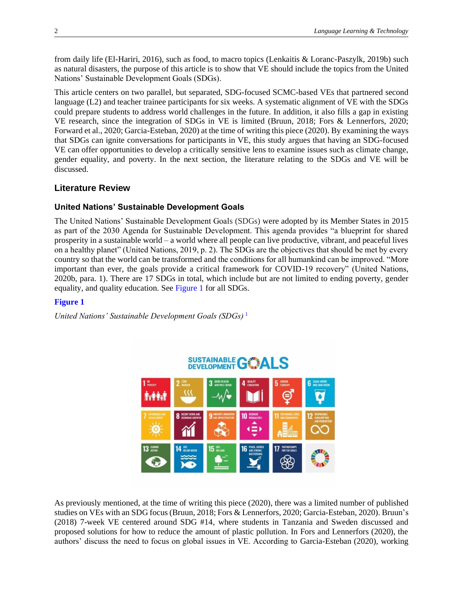from daily life (El-Hariri, 2016), such as food, to macro topics (Lenkaitis & Loranc-Paszylk, 2019b) such as natural disasters, the purpose of this article is to show that VE should include the topics from the United Nations' Sustainable Development Goals (SDGs).

This article centers on two parallel, but separated, SDG-focused SCMC-based VEs that partnered second language (L2) and teacher trainee participants for six weeks. A systematic alignment of VE with the SDGs could prepare students to address world challenges in the future. In addition, it also fills a gap in existing VE research, since the integration of SDGs in VE is limited (Bruun, 2018; Fors & Lennerfors, 2020; Forward et al., 2020; Garcia-Esteban, 2020) at the time of writing this piece (2020). By examining the ways that SDGs can ignite conversations for participants in VE, this study argues that having an SDG-focused VE can offer opportunities to develop a critically sensitive lens to examine issues such as climate change, gender equality, and poverty. In the next section, the literature relating to the SDGs and VE will be discussed.

## **Literature Review**

### **United Nations' Sustainable Development Goals**

The United Nations' Sustainable Development Goals (SDGs) were adopted by its Member States in 2015 as part of the 2030 Agenda for Sustainable Development. This agenda provides "a blueprint for shared prosperity in a sustainable world – a world where all people can live productive, vibrant, and peaceful lives on a healthy planet" (United Nations, 2019, p. 2). The SDGs are the objectives that should be met by every country so that the world can be transformed and the conditions for all humankind can be improved. "More important than ever, the goals provide a critical framework for COVID-19 recovery" (United Nations, 2020b, para. 1). There are 17 SDGs in total, which include but are not limited to ending poverty, gender equality, and quality education. See [Figure 1](#page-1-0) for all SDGs.

### <span id="page-1-0"></span>**[Figure 1](#page-1-1)**

*United Nations' Sustainable Development Goals (SDGs)* [1](#page-12-0)

<span id="page-1-2"></span><span id="page-1-1"></span>

As previously mentioned, at the time of writing this piece (2020), there was a limited number of published studies on VEs with an SDG focus (Bruun, 2018; Fors & Lennerfors, 2020; Garcia-Esteban, 2020). Bruun's (2018) 7-week VE centered around SDG #14, where students in Tanzania and Sweden discussed and proposed solutions for how to reduce the amount of plastic pollution. In Fors and Lennerfors (2020), the authors' discuss the need to focus on global issues in VE. According to Garcia-Esteban (2020), working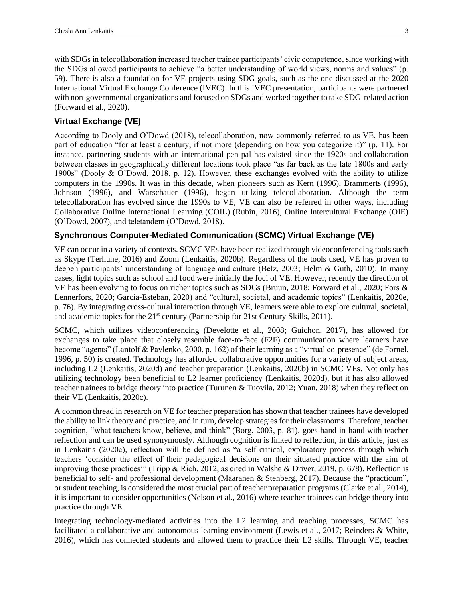with SDGs in telecollaboration increased teacher trainee participants' civic competence, since working with the SDGs allowed participants to achieve "a better understanding of world views, norms and values" (p. 59). There is also a foundation for VE projects using SDG goals, such as the one discussed at the 2020 International Virtual Exchange Conference (IVEC). In this IVEC presentation, participants were partnered with non-governmental organizations and focused on SDGs and worked together to take SDG-related action (Forward et al., 2020).

### **Virtual Exchange (VE)**

According to Dooly and O'Dowd (2018), telecollaboration, now commonly referred to as VE, has been part of education "for at least a century, if not more (depending on how you categorize it)" (p. 11). For instance, partnering students with an international pen pal has existed since the 1920s and collaboration between classes in geographically different locations took place "as far back as the late 1800s and early 1900s" (Dooly & O'Dowd, 2018, p. 12). However, these exchanges evolved with the ability to utilize computers in the 1990s. It was in this decade, when pioneers such as Kern (1996), Brammerts (1996), Johnson (1996), and Warschauer (1996), began utilzing telecollaboration. Although the term telecollaboration has evolved since the 1990s to VE, VE can also be referred in other ways, including Collaborative Online International Learning (COIL) (Rubin, 2016), Online Intercultural Exchange (OIE) (O'Dowd, 2007), and teletandem (O'Dowd, 2018).

### **Synchronous Computer-Mediated Communication (SCMC) Virtual Exchange (VE)**

VE can occur in a variety of contexts. SCMC VEs have been realized through videoconferencing tools such as Skype (Terhune, 2016) and Zoom (Lenkaitis, 2020b). Regardless of the tools used, VE has proven to deepen participants' understanding of language and culture (Belz, 2003; Helm & Guth, 2010). In many cases, light topics such as school and food were initially the foci of VE. However, recently the direction of VE has been evolving to focus on richer topics such as SDGs (Bruun, 2018; Forward et al., 2020; Fors & Lennerfors, 2020; Garcia-Esteban, 2020) and "cultural, societal, and academic topics" (Lenkaitis, 2020e, p. 76). By integrating cross-cultural interaction through VE, learners were able to explore cultural, societal, and academic topics for the  $21<sup>st</sup>$  century (Partnership for 21st Century Skills, 2011).

SCMC, which utilizes videoconferencing (Develotte et al., 2008; Guichon, 2017), has allowed for exchanges to take place that closely resemble face-to-face (F2F) communication where learners have become "agents" (Lantolf & Pavlenko, 2000, p. 162) of their learning as a "virtual co-presence" (de Fornel, 1996, p. 50) is created. Technology has afforded collaborative opportunities for a variety of subject areas, including L2 (Lenkaitis, 2020d) and teacher preparation (Lenkaitis, 2020b) in SCMC VEs. Not only has utilizing technology been beneficial to L2 learner proficiency (Lenkaitis, 2020d), but it has also allowed teacher trainees to bridge theory into practice (Turunen & Tuovila, 2012; Yuan, 2018) when they reflect on their VE (Lenkaitis, 2020c).

A common thread in research on VE for teacher preparation has shown that teacher trainees have developed the ability to link theory and practice, and in turn, develop strategies for their classrooms. Therefore, teacher cognition, "what teachers know, believe, and think" (Borg, 2003, p. 81), goes hand-in-hand with teacher reflection and can be used synonymously. Although cognition is linked to reflection, in this article, just as in Lenkaitis (2020c), reflection will be defined as "a self-critical, exploratory process through which teachers 'consider the effect of their pedagogical decisions on their situated practice with the aim of improving those practices'" (Tripp & Rich, 2012, as cited in Walshe & Driver, 2019, p. 678). Reflection is beneficial to self- and professional development (Maaranen & Stenberg, 2017). Because the "practicum"*,* or student teaching, is considered the most crucial part of teacher preparation programs (Clarke et al., 2014), it is important to consider opportunities (Nelson et al., 2016) where teacher trainees can bridge theory into practice through VE.

Integrating technology-mediated activities into the L2 learning and teaching processes, SCMC has facilitated a collaborative and autonomous learning environment (Lewis et al., 2017; Reinders & White, 2016), which has connected students and allowed them to practice their L2 skills. Through VE, teacher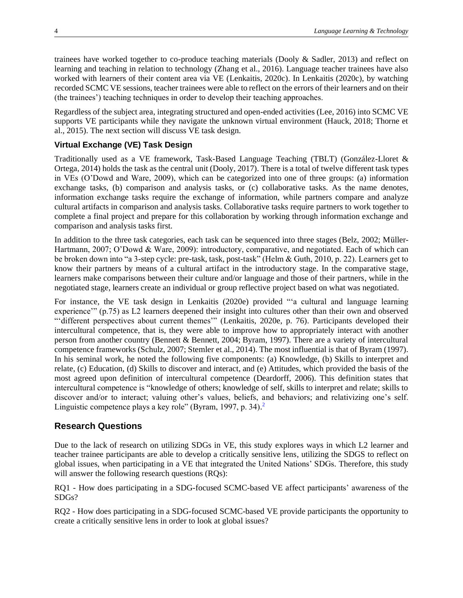trainees have worked together to co-produce teaching materials (Dooly & Sadler, 2013) and reflect on learning and teaching in relation to technology (Zhang et al., 2016). Language teacher trainees have also worked with learners of their content area via VE (Lenkaitis, 2020c). In Lenkaitis (2020c), by watching recorded SCMC VE sessions, teacher trainees were able to reflect on the errors of their learners and on their (the trainees') teaching techniques in order to develop their teaching approaches.

Regardless of the subject area, integrating structured and open-ended activities (Lee, 2016) into SCMC VE supports VE participants while they navigate the unknown virtual environment (Hauck, 2018; Thorne et al., 2015). The next section will discuss VE task design.

### **Virtual Exchange (VE) Task Design**

Traditionally used as a VE framework, Task-Based Language Teaching (TBLT) (González-Lloret & Ortega, 2014) holds the task as the central unit (Dooly, 2017). There is a total of twelve different task types in VEs (O'Dowd and Ware, 2009), which can be categorized into one of three groups: (a) information exchange tasks, (b) comparison and analysis tasks, or (c) collaborative tasks. As the name denotes, information exchange tasks require the exchange of information, while partners compare and analyze cultural artifacts in comparison and analysis tasks. Collaborative tasks require partners to work together to complete a final project and prepare for this collaboration by working through information exchange and comparison and analysis tasks first.

In addition to the three task categories, each task can be sequenced into three stages (Belz, 2002; Müller-Hartmann, 2007; O'Dowd & Ware, 2009): introductory, comparative, and negotiated. Each of which can be broken down into "a 3-step cycle: pre-task, task, post-task" (Helm & Guth, 2010, p. 22). Learners get to know their partners by means of a cultural artifact in the introductory stage. In the comparative stage, learners make comparisons between their culture and/or language and those of their partners, while in the negotiated stage, learners create an individual or group reflective project based on what was negotiated.

For instance, the VE task design in Lenkaitis (2020e) provided "'a cultural and language learning experience'" (p.75) as L2 learners deepened their insight into cultures other than their own and observed "'different perspectives about current themes'" (Lenkaitis, 2020e, p. 76). Participants developed their intercultural competence, that is, they were able to improve how to appropriately interact with another person from another country (Bennett & Bennett, 2004; Byram, 1997). There are a variety of intercultural competence frameworks (Schulz, 2007; Stemler et al., 2014). The most influential is that of Byram (1997). In his seminal work, he noted the following five components: (a) Knowledge, (b) Skills to interpret and relate, (c) Education, (d) Skills to discover and interact, and (e) Attitudes, which provided the basis of the most agreed upon definition of intercultural competence (Deardorff, 2006). This definition states that intercultural competence is "knowledge of others; knowledge of self, skills to interpret and relate; skills to discover and/or to interact; valuing other's values, beliefs, and behaviors; and relativizing one's self. Linguistic competence plays a key role" (Byram, 1997, p[.](#page-12-1) 34).<sup>2</sup>

## <span id="page-3-0"></span>**Research Questions**

Due to the lack of research on utilizing SDGs in VE, this study explores ways in which L2 learner and teacher trainee participants are able to develop a critically sensitive lens, utilizing the SDGS to reflect on global issues, when participating in a VE that integrated the United Nations' SDGs. Therefore, this study will answer the following research questions (RQs):

RQ1 - How does participating in a SDG-focused SCMC-based VE affect participants' awareness of the SDGs?

RQ2 - How does participating in a SDG-focused SCMC-based VE provide participants the opportunity to create a critically sensitive lens in order to look at global issues?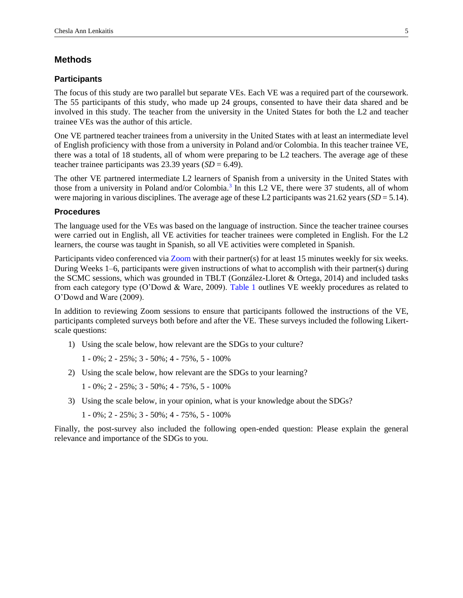### **Methods**

#### **Participants**

The focus of this study are two parallel but separate VEs. Each VE was a required part of the coursework. The 55 participants of this study, who made up 24 groups, consented to have their data shared and be involved in this study. The teacher from the university in the United States for both the L2 and teacher trainee VEs was the author of this article.

One VE partnered teacher trainees from a university in the United States with at least an intermediate level of English proficiency with those from a university in Poland and/or Colombia. In this teacher trainee VE, there was a total of 18 students, all of whom were preparing to be L2 teachers. The average age of these teacher trainee participants was 23.39 years (*SD* = 6.49).

<span id="page-4-1"></span>The other VE partnered intermediate L2 learners of Spanish from a university in the United States with those from a university in Poland and/or Colombia.<sup>[3](#page-12-2)</sup> In this L2 VE, there were 37 students, all of whom were majoring in various disciplines. The average age of these L2 participants was 21.62 years (*SD* = 5.14).

#### **Procedures**

The language used for the VEs was based on the language of instruction. Since the teacher trainee courses were carried out in English, all VE activities for teacher trainees were completed in English. For the L2 learners, the course was taught in Spanish, so all VE activities were completed in Spanish.

Participants video conferenced via [Zoom](https://zoom.us/) with their partner(s) for at least 15 minutes weekly for six weeks. During Weeks 1–6, participants were given instructions of what to accomplish with their partner(s) during the SCMC sessions, which was grounded in TBLT (González-Lloret & Ortega, 2014) and included tasks from each category type (O'Dowd & Ware, 2009). [Table 1](#page-5-0) outlines VE weekly procedures as related to O'Dowd and Ware (2009).

In addition to reviewing Zoom sessions to ensure that participants followed the instructions of the VE, participants completed surveys both before and after the VE. These surveys included the following Likertscale questions:

1) Using the scale below, how relevant are the SDGs to your culture?

<span id="page-4-0"></span> $1 - 0\%$ ;  $2 - 25\%$ ;  $3 - 50\%$ ;  $4 - 75\%$ ,  $5 - 100\%$ 

- 2) Using the scale below, how relevant are the SDGs to your learning?
	- 1 0%; 2 25%; 3 50%; 4 75%, 5 100%
- 3) Using the scale below, in your opinion, what is your knowledge about the SDGs?
	- 1 0%; 2 25%; 3 50%; 4 75%, 5 100%

Finally, the post-survey also included the following open-ended question: Please explain the general relevance and importance of the SDGs to you.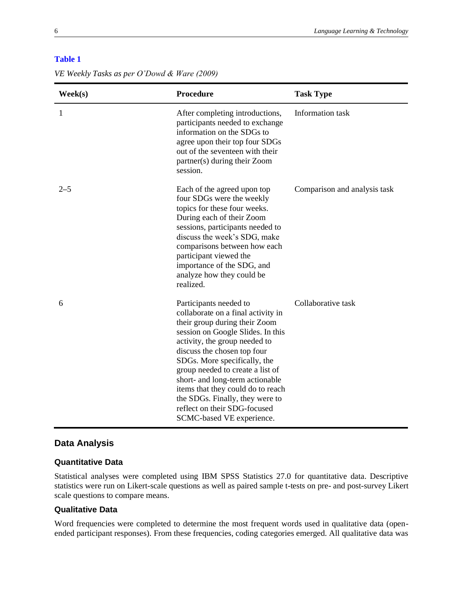<span id="page-5-0"></span>

|  | VE Weekly Tasks as per O'Dowd & Ware (2009) |
|--|---------------------------------------------|
|--|---------------------------------------------|

| $\textbf{Week}(s)$ | Procedure                                                                                                                                                                                                                                                                                                                                                                                                                                      | <b>Task Type</b>             |
|--------------------|------------------------------------------------------------------------------------------------------------------------------------------------------------------------------------------------------------------------------------------------------------------------------------------------------------------------------------------------------------------------------------------------------------------------------------------------|------------------------------|
| 1                  | After completing introductions,<br>participants needed to exchange<br>information on the SDGs to<br>agree upon their top four SDGs<br>out of the seventeen with their<br>partner(s) during their Zoom<br>session.                                                                                                                                                                                                                              | Information task             |
| $2 - 5$            | Each of the agreed upon top<br>four SDGs were the weekly<br>topics for these four weeks.<br>During each of their Zoom<br>sessions, participants needed to<br>discuss the week's SDG, make<br>comparisons between how each<br>participant viewed the<br>importance of the SDG, and<br>analyze how they could be<br>realized.                                                                                                                    | Comparison and analysis task |
| 6                  | Participants needed to<br>collaborate on a final activity in<br>their group during their Zoom<br>session on Google Slides. In this<br>activity, the group needed to<br>discuss the chosen top four<br>SDGs. More specifically, the<br>group needed to create a list of<br>short- and long-term actionable<br>items that they could do to reach<br>the SDGs. Finally, they were to<br>reflect on their SDG-focused<br>SCMC-based VE experience. | Collaborative task           |

## **Data Analysis**

### **Quantitative Data**

Statistical analyses were completed using IBM SPSS Statistics 27.0 for quantitative data. Descriptive statistics were run on Likert-scale questions as well as paired sample t-tests on pre- and post-survey Likert scale questions to compare means.

#### **Qualitative Data**

Word frequencies were completed to determine the most frequent words used in qualitative data (openended participant responses). From these frequencies, coding categories emerged. All qualitative data was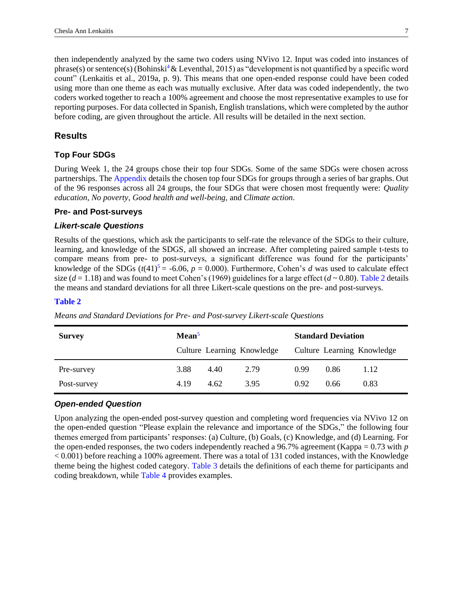<span id="page-6-4"></span>then independently analyzed by the same two coders using NVivo 12. Input was coded into instances of phrase(s) or sentence(s) (Bohinski<sup>4</sup> & Leventhal, 2015) as "development is not quantified by a specific word count" (Lenkaitis et al., 2019a, p. 9). This means that one open-ended response could have been coded using more than one theme as each was mutually exclusive. After data was coded independently, the two coders worked together to reach a 100% agreement and choose the most representative examples to use for reporting purposes. For data collected in Spanish, English translations, which were completed by the author before coding, are given throughout the article. All results will be detailed in the next section.

#### **Results**

#### **Top Four SDGs**

<span id="page-6-6"></span>During Week 1, the 24 groups chose their top four SDGs. Some of the same SDGs were chosen across partnerships. Th[e Appendix](#page-18-0) details the chosen top four SDGs for groups through a series of bar graphs. Out of the 96 responses across all 24 groups, the four SDGs that were chosen most frequently were: *Quality education*, *No poverty*, *Good health and well-being*, and *Climate action*.

### **Pre- and Post-surveys**

#### *Likert-scale Questions*

<span id="page-6-5"></span>Results of the questions, which ask the participants to self-rate the relevance of the SDGs to their culture, learning, and knowledge of the SDGS, all showed an increase. After completing paired sample t-tests to compare means from pre- to post-surveys, a significant difference was found for the participants' knowledge of the SDGs  $(t(41)^5 = -6.06, p = 0.000)$  $(t(41)^5 = -6.06, p = 0.000)$  $(t(41)^5 = -6.06, p = 0.000)$ . Furthermore, Cohen's *d* was used to calculate effect size ( $d = 1.18$ ) and was found to meet Cohen's (1969) guidelines for a large effect ( $d \sim 0.80$ ). [Table 2](#page-6-0) details the means and standard deviations for all three Likert-scale questions on the pre- and post-surveys.

#### <span id="page-6-1"></span><span id="page-6-0"></span>**[Table 2](#page-6-1)**

*Means and Standard Deviations for Pre- and Post-survey Likert-scale Questions*

| <b>Survey</b> | Mean <sup>5</sup>          |      | <b>Standard Deviation</b> |      |                            |      |
|---------------|----------------------------|------|---------------------------|------|----------------------------|------|
|               | Culture Learning Knowledge |      |                           |      | Culture Learning Knowledge |      |
| Pre-survey    | 3.88                       | 4.40 | 2.79                      | 0.99 | 0.86                       | 1.12 |
| Post-survey   | 4.19                       | 4.62 | 3.95                      | 0.92 | 0.66                       | 0.83 |

#### *Open-ended Question*

<span id="page-6-3"></span><span id="page-6-2"></span>Upon analyzing the open-ended post-survey question and completing word frequencies via NVivo 12 on the open-ended question "Please explain the relevance and importance of the SDGs," the following four themes emerged from participants' responses: (a) Culture, (b) Goals, (c) Knowledge, and (d) Learning. For the open-ended responses, the two coders independently reached a 96.7% agreement (Kappa = 0.73 with *p* < 0.001) before reaching a 100% agreement. There was a total of 131 coded instances, with the Knowledge theme being the highest coded category. [Table 3](#page-7-0) details the definitions of each theme for participants and coding breakdown, while [Table 4](#page-8-0) provides examples.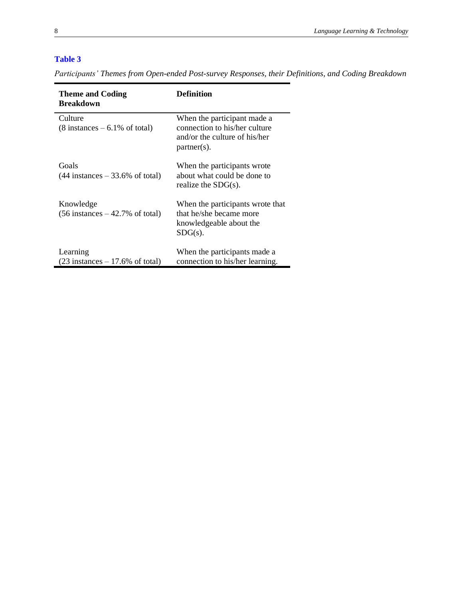<span id="page-7-0"></span>*Participants' Themes from Open-ended Post-survey Responses, their Definitions, and Coding Breakdown*

| <b>Theme and Coding</b><br>Breakdown                        | Definition                                                                                                      |
|-------------------------------------------------------------|-----------------------------------------------------------------------------------------------------------------|
| Culture<br>$(8 \text{ instances} - 6.1\% \text{ of total})$ | When the participant made a<br>connection to his/her culture<br>and/or the culture of his/her<br>$partner(s)$ . |
| Goals<br>$(44$ instances $-33.6\%$ of total)                | When the participants wrote<br>about what could be done to<br>realize the $SDG(s)$ .                            |
| Knowledge<br>$(56$ instances $-42.7\%$ of total)            | When the participants wrote that<br>that he/she became more<br>knowledgeable about the<br>$SDG(s)$ .            |
| Learning<br>$(23$ instances $-17.6\%$ of total)             | When the participants made a<br>connection to his/her learning.                                                 |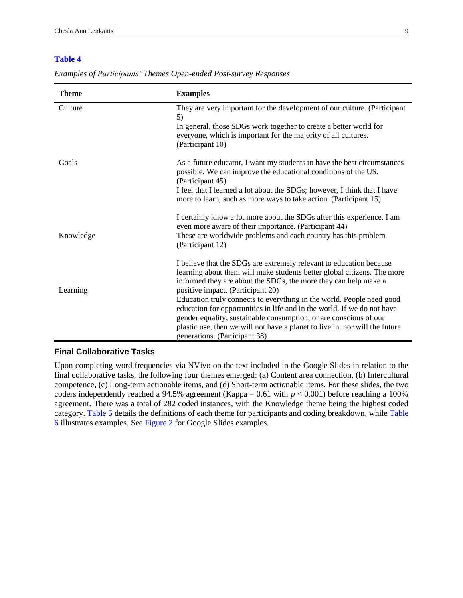| <b>Theme</b> | <b>Examples</b>                                                                                                                                                                                                                                                                                                                                                                                                                                                                                                                                                                                 |
|--------------|-------------------------------------------------------------------------------------------------------------------------------------------------------------------------------------------------------------------------------------------------------------------------------------------------------------------------------------------------------------------------------------------------------------------------------------------------------------------------------------------------------------------------------------------------------------------------------------------------|
| Culture      | They are very important for the development of our culture. (Participant<br>5)<br>In general, those SDGs work together to create a better world for<br>everyone, which is important for the majority of all cultures.<br>(Participant 10)                                                                                                                                                                                                                                                                                                                                                       |
| Goals        | As a future educator, I want my students to have the best circumstances<br>possible. We can improve the educational conditions of the US.<br>(Participant 45)<br>I feel that I learned a lot about the SDGs; however, I think that I have<br>more to learn, such as more ways to take action. (Participant 15)                                                                                                                                                                                                                                                                                  |
| Knowledge    | I certainly know a lot more about the SDGs after this experience. I am<br>even more aware of their importance. (Participant 44)<br>These are worldwide problems and each country has this problem.<br>(Participant 12)                                                                                                                                                                                                                                                                                                                                                                          |
| Learning     | I believe that the SDGs are extremely relevant to education because<br>learning about them will make students better global citizens. The more<br>informed they are about the SDGs, the more they can help make a<br>positive impact. (Participant 20)<br>Education truly connects to everything in the world. People need good<br>education for opportunities in life and in the world. If we do not have<br>gender equality, sustainable consumption, or are conscious of our<br>plastic use, then we will not have a planet to live in, nor will the future<br>generations. (Participant 38) |

<span id="page-8-0"></span>*Examples of Participants' Themes Open-ended Post-survey Responses*

#### **Final Collaborative Tasks**

<span id="page-8-3"></span><span id="page-8-2"></span><span id="page-8-1"></span>Upon completing word frequencies via NVivo on the text included in the Google Slides in relation to the final collaborative tasks, the following four themes emerged: (a) Content area connection, (b) Intercultural competence, (c) Long-term actionable items, and (d) Short-term actionable items. For these slides, the two coders independently reached a 94.5% agreement (Kappa =  $0.61$  with  $p < 0.001$ ) before reaching a 100% agreement. There was a total of 282 coded instances, with the Knowledge theme being the highest coded category. [Table 5](#page-9-0) details the definitions of each theme for participants and coding breakdown, while [Table](#page-9-1)  [6](#page-9-1) illustrates examples. See [Figure 2](#page-10-0) for Google Slides examples.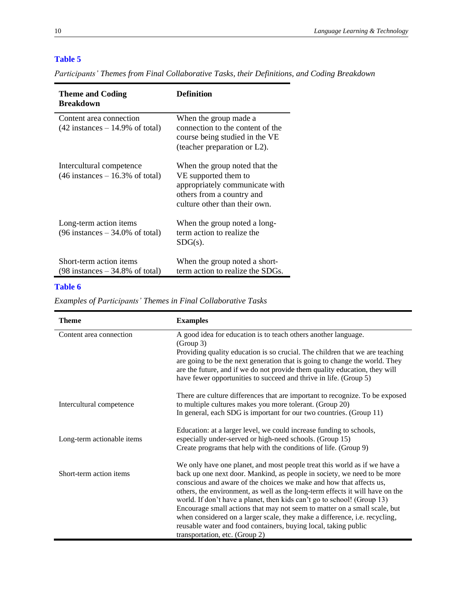<span id="page-9-0"></span>*Participants' Themes from Final Collaborative Tasks, their Definitions, and Coding Breakdown*

| <b>Theme and Coding</b><br><b>Breakdown</b>                                   | Definition                                                                                                                                            |
|-------------------------------------------------------------------------------|-------------------------------------------------------------------------------------------------------------------------------------------------------|
| Content area connection<br>$(42 \text{ instances} - 14.9\% \text{ of total})$ | When the group made a<br>connection to the content of the<br>course being studied in the VE<br>(teacher preparation or L2).                           |
| Intercultural competence<br>$(46$ instances $-16.3\%$ of total)               | When the group noted that the<br>VE supported them to<br>appropriately communicate with<br>others from a country and<br>culture other than their own. |
| Long-term action items<br>$(96 \text{ instances} - 34.0\% \text{ of total})$  | When the group noted a long-<br>term action to realize the<br>$SDG(s)$ .                                                                              |
| Short-term action items<br>$(98 \text{ instances} - 34.8\% \text{ of total})$ | When the group noted a short-<br>term action to realize the SDGs.                                                                                     |

### <span id="page-9-1"></span>**[Table 6](#page-8-2)**

*Examples of Participants' Themes in Final Collaborative Tasks*

| <b>Theme</b>               | <b>Examples</b>                                                                                                                                                                                                                                                                                                                                                                                                                                                                                                                                                                                                                                          |
|----------------------------|----------------------------------------------------------------------------------------------------------------------------------------------------------------------------------------------------------------------------------------------------------------------------------------------------------------------------------------------------------------------------------------------------------------------------------------------------------------------------------------------------------------------------------------------------------------------------------------------------------------------------------------------------------|
| Content area connection    | A good idea for education is to teach others another language.<br>(Group 3)<br>Providing quality education is so crucial. The children that we are teaching<br>are going to be the next generation that is going to change the world. They<br>are the future, and if we do not provide them quality education, they will<br>have fewer opportunities to succeed and thrive in life. (Group 5)                                                                                                                                                                                                                                                            |
| Intercultural competence   | There are culture differences that are important to recognize. To be exposed<br>to multiple cultures makes you more tolerant. (Group 20)<br>In general, each SDG is important for our two countries. (Group 11)                                                                                                                                                                                                                                                                                                                                                                                                                                          |
| Long-term actionable items | Education: at a larger level, we could increase funding to schools,<br>especially under-served or high-need schools. (Group 15)<br>Create programs that help with the conditions of life. (Group 9)                                                                                                                                                                                                                                                                                                                                                                                                                                                      |
| Short-term action items    | We only have one planet, and most people treat this world as if we have a<br>back up one next door. Mankind, as people in society, we need to be more<br>conscious and aware of the choices we make and how that affects us,<br>others, the environment, as well as the long-term effects it will have on the<br>world. If don't have a planet, then kids can't go to school! (Group 13)<br>Encourage small actions that may not seem to matter on a small scale, but<br>when considered on a larger scale, they make a difference, i.e. recycling,<br>reusable water and food containers, buying local, taking public<br>transportation, etc. (Group 2) |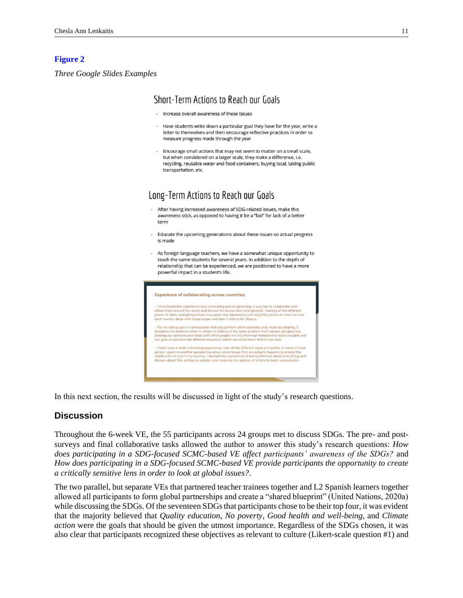#### <span id="page-10-0"></span>**[Figure 2](#page-8-3)**

*Three Google Slides Examples*

### Short-Term Actions to Reach our Goals

- Increase overall awareness of these issues
- Have students write down a particular goal they have for the year, write a letter to themselves and then encourage reflective practices in order to measure progress made through the year
- Encourage small actions that may not seem to matter on a small scale, but when considered on a larger scale, they make a difference, i.e. recycling, reusable water and food containers, buying local, taking public transportation, etc.

## Long-Term Actions to Reach our Goals

- After having increased awareness of SDG-related issues, make this awareness stick, as opposed to having it be a "fad" for lack of a better term
- Educate the upcoming generations about these issues so actual progress is made
- As foreign language teachers, we have a somewhat unique opportunity to teach the same students for several years. In addition to the depth of relationship that can be experienced, we are positioned to have a more powerful impact in a student's life.



In this next section, the results will be discussed in light of the study's research questions.

### **Discussion**

Throughout the 6-week VE, the 55 participants across 24 groups met to discuss SDGs. The pre- and postsurveys and final collaborative tasks allowed the author to answer this study's research questions: *How does participating in a SDG-focused SCMC-based VE affect participants' awareness of the SDGs?* and *How does participating in a SDG-focused SCMC-based VE provide participants the opportunity to create a critically sensitive lens in order to look at global issues?*.

The two parallel, but separate VEs that partnered teacher trainees together and L2 Spanish learners together allowed all participants to form global partnerships and create a "shared blueprint" (United Nations, 2020a) while discussing the SDGs. Of the seventeen SDGs that participants chose to be their top four, it was evident that the majority believed that *Quality education*, *No poverty*, *Good health and well-being*, and *Climate action* were the goals that should be given the utmost importance. Regardless of the SDGs chosen, it was also clear that participants recognized these objectives as relevant to culture (Likert-scale question #1) and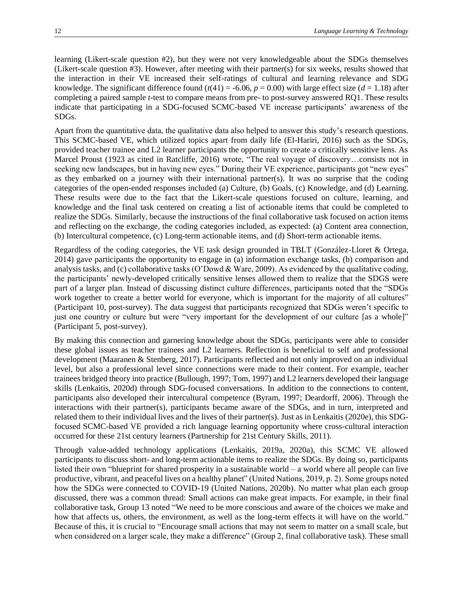learning (Likert-scale question #2), but they were not very knowledgeable about the SDGs themselves (Likert-scale question #3). However, after meeting with their partner(s) for six weeks, results showed that the interaction in their VE increased their self-ratings of cultural and learning relevance and SDG knowledge. The significant difference found  $(t(41) = -6.06, p = 0.00)$  with large effect size ( $d = 1.18$ ) after completing a paired sample *t*-test to compare means from pre- to post-survey answered RQ1. These results indicate that participating in a SDG-focused SCMC-based VE increase participants' awareness of the SDGs.

Apart from the quantitative data, the qualitative data also helped to answer this study's research questions. This SCMC-based VE, which utilized topics apart from daily life (El-Hariri, 2016) such as the SDGs, provided teacher trainee and L2 learner participants the opportunity to create a critically sensitive lens. As Marcel Proust (1923 as cited in Ratcliffe, 2016) wrote, "The real voyage of discovery…consists not in seeking new landscapes, but in having new eyes." During their VE experience, participants got "new eyes" as they embarked on a journey with their international partner(s). It was no surprise that the coding categories of the open-ended responses included (a) Culture, (b) Goals, (c) Knowledge, and (d) Learning. These results were due to the fact that the Likert-scale questions focused on culture, learning, and knowledge and the final task centered on creating a list of actionable items that could be completed to realize the SDGs. Similarly, because the instructions of the final collaborative task focused on action items and reflecting on the exchange, the coding categories included, as expected: (a) Content area connection, (b) Intercultural competence, (c) Long-term actionable items, and (d) Short-term actionable items.

Regardless of the coding categories, the VE task design grounded in TBLT (González-Lloret & Ortega, 2014) gave participants the opportunity to engage in (a) information exchange tasks, (b) comparison and analysis tasks, and (c) collaborative tasks (O'Dowd & Ware, 2009). As evidenced by the qualitative coding, the participants' newly-developed critically sensitive lenses allowed them to realize that the SDGS were part of a larger plan. Instead of discussing distinct culture differences, participants noted that the "SDGs work together to create a better world for everyone, which is important for the majority of all cultures" (Participant 10, post-survey). The data suggest that participants recognized that SDGs weren't specific to just one country or culture but were "very important for the development of our culture [as a whole]" (Participant 5, post-survey).

By making this connection and garnering knowledge about the SDGs, participants were able to consider these global issues as teacher trainees and L2 learners. Reflection is beneficial to self and professional development (Maaranen & Stenberg, 2017). Participants reflected and not only improved on an individual level, but also a professional level since connections were made to their content. For example, teacher trainees bridged theory into practice (Bullough, 1997; Tom, 1997) and L2 learners developed their language skills (Lenkaitis, 2020d) through SDG-focused conversations. In addition to the connections to content, participants also developed their intercultural competence (Byram, 1997; Deardorff, 2006). Through the interactions with their partner(s), participants became aware of the SDGs, and in turn, interpreted and related them to their individual lives and the lives of their partner(s). Just as in Lenkaitis (2020e), this SDGfocused SCMC-based VE provided a rich language learning opportunity where cross-cultural interaction occurred for these 21st century learners (Partnership for 21st Century Skills, 2011).

Through value-added technology applications (Lenkaitis, 2019a, 2020a), this SCMC VE allowed participants to discuss short- and long-term actionable items to realize the SDGs. By doing so, participants listed their own "blueprint for shared prosperity in a sustainable world – a world where all people can live productive, vibrant, and peaceful lives on a healthy planet" (United Nations, 2019, p. 2). Some groups noted how the SDGs were connected to COVID-19 (United Nations, 2020b). No matter what plan each group discussed, there was a common thread: Small actions can make great impacts. For example, in their final collaborative task, Group 13 noted "We need to be more conscious and aware of the choices we make and how that affects us, others, the environment, as well as the long-term effects it will have on the world." Because of this, it is crucial to "Encourage small actions that may not seem to matter on a small scale, but when considered on a larger scale, they make a difference" (Group 2, final collaborative task). These small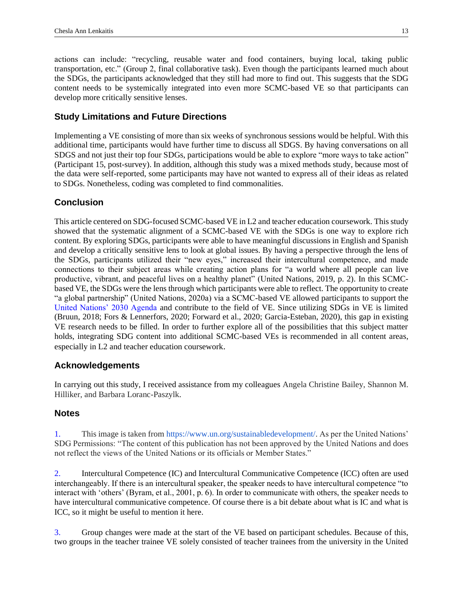actions can include: "recycling, reusable water and food containers, buying local, taking public transportation, etc." (Group 2, final collaborative task). Even though the participants learned much about the SDGs, the participants acknowledged that they still had more to find out. This suggests that the SDG content needs to be systemically integrated into even more SCMC-based VE so that participants can develop more critically sensitive lenses.

## **Study Limitations and Future Directions**

Implementing a VE consisting of more than six weeks of synchronous sessions would be helpful. With this additional time, participants would have further time to discuss all SDGS. By having conversations on all SDGS and not just their top four SDGs, participations would be able to explore "more ways to take action" (Participant 15, post-survey). In addition, although this study was a mixed methods study, because most of the data were self-reported, some participants may have not wanted to express all of their ideas as related to SDGs. Nonetheless, coding was completed to find commonalities.

## **Conclusion**

This article centered on SDG-focused SCMC-based VE in L2 and teacher education coursework. This study showed that the systematic alignment of a SCMC-based VE with the SDGs is one way to explore rich content. By exploring SDGs, participants were able to have meaningful discussions in English and Spanish and develop a critically sensitive lens to look at global issues. By having a perspective through the lens of the SDGs, participants utilized their "new eyes," increased their intercultural competence, and made connections to their subject areas while creating action plans for "a world where all people can live productive, vibrant, and peaceful lives on a healthy planet" (United Nations, 2019, p. 2). In this SCMCbased VE, the SDGs were the lens through which participants were able to reflect. The opportunity to create "a global partnership" (United Nations, 2020a) via a SCMC-based VE allowed participants to support the [United Nations' 2030 Agenda](https://sdgs.un.org/2030agenda) and contribute to the field of VE. Since utilizing SDGs in VE is limited (Bruun, 2018; Fors & Lennerfors, 2020; Forward et al., 2020; Garcia-Esteban, 2020), this gap in existing VE research needs to be filled. In order to further explore all of the possibilities that this subject matter holds, integrating SDG content into additional SCMC-based VEs is recommended in all content areas, especially in L2 and teacher education coursework.

## **Acknowledgements**

In carrying out this study, I received assistance from my colleagues Angela Christine Bailey, Shannon M. Hilliker, and Barbara Loranc-Paszylk.

## **Notes**

<span id="page-12-0"></span>[1.](#page-1-2) This image is taken from [https://www.un.org/sustainabledevelopment/.](https://www.un.org/sustainabledevelopment/sustainable-development-goals/) As per the United Nations' SDG Permissions: "The content of this publication has not been approved by the United Nations and does not reflect the views of the United Nations or its officials or Member States."

<span id="page-12-1"></span>[2.](#page-3-0) Intercultural Competence (IC) and Intercultural Communicative Competence (ICC) often are used interchangeably. If there is an intercultural speaker, the speaker needs to have intercultural competence "to interact with 'others' (Byram, et al., 2001, p. 6). In order to communicate with others, the speaker needs to have intercultural communicative competence. Of course there is a bit debate about what is IC and what is ICC, so it might be useful to mention it here.

<span id="page-12-2"></span>[3.](#page-4-1) Group changes were made at the start of the VE based on participant schedules. Because of this, two groups in the teacher trainee VE solely consisted of teacher trainees from the university in the United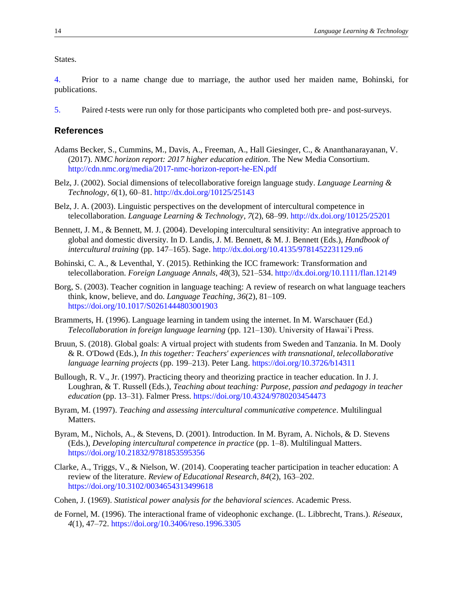States.

<span id="page-13-0"></span>[4.](#page-6-4) Prior to a name change due to marriage, the author used her maiden name, Bohinski, for publications.

<span id="page-13-1"></span>[5.](#page-6-5) Paired *t*-tests were run only for those participants who completed both pre- and post-surveys.

#### **References**

- Adams Becker, S., Cummins, M., Davis, A., Freeman, A., Hall Giesinger, C., & Ananthanarayanan, V. (2017). *NMC horizon report: 2017 higher education edition*. The New Media Consortium. <http://cdn.nmc.org/media/2017-nmc-horizon-report-he-EN.pdf>
- Belz, J. (2002). Social dimensions of telecollaborative foreign language study. *Language Learning & Technology*, *6*(1), 60–81[. http://dx.doi.org/10125/25143](http://dx.doi.org/10125/25143)
- Belz, J. A. (2003). Linguistic perspectives on the development of intercultural competence in telecollaboration. *Language Learning & Technology*, *7*(2), 68–99.<http://dx.doi.org/10125/25201>
- Bennett, J. M., & Bennett, M. J. (2004). Developing intercultural sensitivity: An integrative approach to global and domestic diversity. In D. Landis, J. M. Bennett, & M. J. Bennett (Eds.), *Handbook of intercultural training* (pp. 147–165). Sage.<http://dx.doi.org/10.4135/9781452231129.n6>
- Bohinski, C. A., & Leventhal, Y. (2015). Rethinking the ICC framework: Transformation and telecollaboration. *Foreign Language Annals*, *48*(3), 521–534[. http://dx.doi.org/10.1111/flan.12149](http://dx.doi.org/10.1111/flan.12149)
- Borg, S. (2003). Teacher cognition in language teaching: A review of research on what language teachers think, know, believe, and do. *Language Teaching*, *36*(2), 81–109. <https://doi.org/10.1017/S0261444803001903>
- Brammerts, H. (1996). Language learning in tandem using the internet. In M. Warschauer (Ed.) *Telecollaboration in foreign language learning* (pp. 121–130). University of Hawai'i Press.
- Bruun, S. (2018). Global goals: A virtual project with students from Sweden and Tanzania. In M. Dooly & R. O'Dowd (Eds.), *In this together: Teachers' experiences with transnational, telecollaborative language learning projects* (pp. 199–213). Peter Lang.<https://doi.org/10.3726/b14311>
- Bullough, R. V., Jr. (1997). Practicing theory and theorizing practice in teacher education. In J. J. Loughran, & T. Russell (Eds.), *Teaching about teaching: Purpose, passion and pedagogy in teacher education* (pp. 13–31). Falmer Press[. https://doi.org/10.4324/9780203454473](https://doi.org/10.4324/9780203454473)
- Byram, M. (1997). *Teaching and assessing intercultural communicative competence*. Multilingual Matters.
- Byram, M., Nichols, A., & Stevens, D. (2001). Introduction. In M. Byram, A. Nichols, & D. Stevens (Eds.), *Developing intercultural competence in practice* (pp. 1–8). Multilingual Matters. <https://doi.org/10.21832/9781853595356>
- Clarke, A., Triggs, V., & Nielson, W. (2014). Cooperating teacher participation in teacher education: A review of the literature. *Review of Educational Research*, *84*(2), 163–202. <https://doi.org/10.3102/0034654313499618>
- Cohen, J. (1969). *Statistical power analysis for the behavioral sciences*. Academic Press.
- de Fornel, M. (1996). The interactional frame of videophonic exchange. (L. Libbrecht, Trans.). *Réseaux*, *4*(1), 47–72.<https://doi.org/10.3406/reso.1996.3305>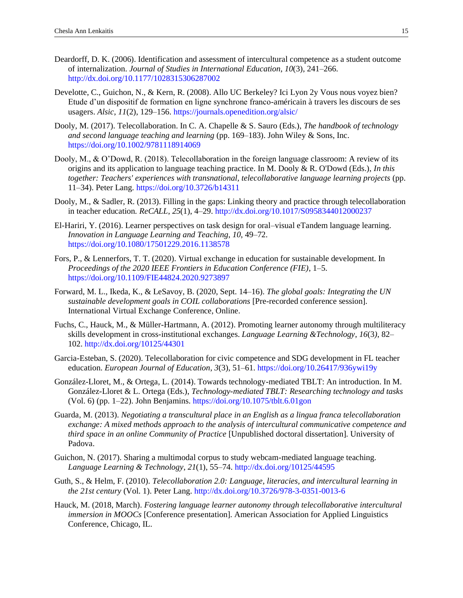- Deardorff, D. K. (2006). Identification and assessment of intercultural competence as a student outcome of internalization. *Journal of Studies in International Education*, *10*(3), 241–266. <http://dx.doi.org/10.1177/1028315306287002>
- Develotte, C., Guichon, N., & Kern, R. (2008). Allo UC Berkeley? Ici Lyon 2y Vous nous voyez bien? Etude d'un dispositif de formation en ligne synchrone franco-américain à travers les discours de ses usagers. *Alsic*, *11*(2), 129–156.<https://journals.openedition.org/alsic/>
- Dooly, M. (2017). Telecollaboration. In C. A. Chapelle & S. Sauro (Eds.), *The handbook of technology and second language teaching and learning* (pp. 169–183). John Wiley & Sons, Inc. <https://doi.org/10.1002/9781118914069>
- Dooly, M., & O'Dowd, R. (2018). Telecollaboration in the foreign language classroom: A review of its origins and its application to language teaching practice. In M. Dooly & R. O'Dowd (Eds.), *In this together: Teachers' experiences with transnational, telecollaborative language learning projects* (pp. 11–34). Peter Lang.<https://doi.org/10.3726/b14311>
- Dooly, M., & Sadler, R. (2013). Filling in the gaps: Linking theory and practice through telecollaboration in teacher education*. ReCALL*, *25*(1), 4–29.<http://dx.doi.org/10.1017/S0958344012000237>
- El-Hariri, Y. (2016). Learner perspectives on task design for oral–visual eTandem language learning. *Innovation in Language Learning and Teaching*, *10*, 49–72. <https://doi.org/10.1080/17501229.2016.1138578>
- Fors, P., & Lennerfors, T. T. (2020). Virtual exchange in education for sustainable development. In *Proceedings of the 2020 IEEE Frontiers in Education Conference (FIE)*, 1–5. <https://doi.org/10.1109/FIE44824.2020.9273897>
- Forward, M. L., Ikeda, K., & LeSavoy, B. (2020, Sept. 14–16). *The global goals: Integrating the UN sustainable development goals in COIL collaborations* [Pre-recorded conference session]. International Virtual Exchange Conference, Online.
- Fuchs, C., Hauck, M., & Müller-Hartmann, A. (2012). Promoting learner autonomy through multiliteracy skills development in cross-institutional exchanges. *Language Learning &Technology*, *16*(3*)*, 82– 102.<http://dx.doi.org/10125/44301>
- Garcia-Esteban, S. (2020). Telecollaboration for civic competence and SDG development in FL teacher education. *European Journal of Education*, *3*(3), 51–61.<https://doi.org/10.26417/936ywi19y>
- González-Lloret, M., & Ortega, L. (2014). Towards technology-mediated TBLT: An introduction. In M. González-Lloret & L. Ortega (Eds.), *Technology-mediated TBLT: Researching technology and tasks*  (Vol. 6) (pp. 1–22). John Benjamins.<https://doi.org/10.1075/tblt.6.01gon>
- Guarda, M. (2013). *Negotiating a transcultural place in an English as a lingua franca telecollaboration exchange: A mixed methods approach to the analysis of intercultural communicative competence and third space in an online Community of Practice* [Unpublished doctoral dissertation]. University of Padova.
- Guichon, N. (2017). Sharing a multimodal corpus to study webcam-mediated language teaching. *Language Learning & Technology*, *21*(1), 55–74.<http://dx.doi.org/10125/44595>
- Guth, S., & Helm, F. (2010). *Telecollaboration 2.0: Language, literacies, and intercultural learning in the 21st century* (Vol. 1). Peter Lang.<http://dx.doi.org/10.3726/978-3-0351-0013-6>
- Hauck, M. (2018, March). *Fostering language learner autonomy through telecollaborative intercultural immersion in MOOCs* [Conference presentation]. American Association for Applied Linguistics Conference, Chicago, IL.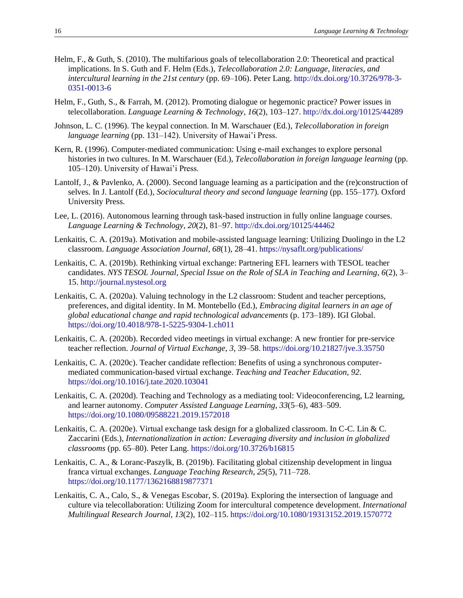- Helm, F., & Guth, S. (2010). The multifarious goals of telecollaboration 2.0: Theoretical and practical implications. In S. Guth and F. Helm (Eds.), *Telecollaboration 2.0: Language, literacies, and intercultural learning in the 21st century* (pp. 69–106). Peter Lang[. http://dx.doi.org/10.3726/978-3-](http://dx.doi.org/10.3726/978-3-0351-0013-6) [0351-0013-6](http://dx.doi.org/10.3726/978-3-0351-0013-6)
- Helm, F., Guth, S., & Farrah, M. (2012). Promoting dialogue or hegemonic practice? Power issues in telecollaboration. *Language Learning & Technology*, *16*(2), 103–127[. http://dx.doi.org/10125/44289](http://dx.doi.org/10125/44289)
- Johnson, L. C. (1996). The keypal connection. In M. Warschauer (Ed.), *Telecollaboration in foreign language learning* (pp. 131–142). University of Hawai'i Press.
- Kern, R. (1996). Computer-mediated communication: Using e-mail exchanges to explore personal histories in two cultures. In M. Warschauer (Ed.), *Telecollaboration in foreign language learning* (pp. 105–120). University of Hawai'i Press.
- Lantolf, J., & Pavlenko, A. (2000). Second language learning as a participation and the (re)construction of selves. In J. Lantolf (Ed.), *Sociocultural theory and second language learning* (pp. 155–177)*.* Oxford University Press.
- Lee, L. (2016). Autonomous learning through task-based instruction in fully online language courses. *Language Learning & Technology*, *20*(2), 81–97.<http://dx.doi.org/10125/44462>
- Lenkaitis, C. A. (2019a). Motivation and mobile-assisted language learning: Utilizing Duolingo in the L2 classroom. *Language Association Journal*, *68*(1), 28–41.<https://nysaflt.org/publications/>
- Lenkaitis, C. A. (2019b). Rethinking virtual exchange: Partnering EFL learners with TESOL teacher candidates. *NYS TESOL Journal, Special Issue on the Role of SLA in Teaching and Learning*, *6*(2), 3– 15. [http://journal.nystesol.org](http://journal.nystesol.org/)
- Lenkaitis, C. A. (2020a). Valuing technology in the L2 classroom: Student and teacher perceptions, preferences, and digital identity. In M. Montebello (Ed.), *Embracing digital learners in an age of global educational change and rapid technological advancements* (p. 173–189). IGI Global. <https://doi.org/10.4018/978-1-5225-9304-1.ch011>
- Lenkaitis, C. A. (2020b). Recorded video meetings in virtual exchange: A new frontier for pre-service teacher reflection. *Journal of Virtual Exchange*, *3*, 39–58.<https://doi.org/10.21827/jve.3.35750>
- Lenkaitis, C. A. (2020c). Teacher candidate reflection: Benefits of using a synchronous computermediated communication-based virtual exchange. *Teaching and Teacher Education*, *92*. <https://doi.org/10.1016/j.tate.2020.103041>
- Lenkaitis, C. A. (2020d). Teaching and Technology as a mediating tool: Videoconferencing, L2 learning, and learner autonomy. *Computer Assisted Language Learning*, *33*(5–6), 483–509. <https://doi.org/10.1080/09588221.2019.1572018>
- Lenkaitis, C. A. (2020e). Virtual exchange task design for a globalized classroom. In C-C. Lin & C. Zaccarini (Eds.), *Internationalization in action: Leveraging diversity and inclusion in globalized classrooms* (pp. 65–80). Peter Lang[. https://doi.org/10.3726/b16815](https://doi.org/10.3726/b16815)
- Lenkaitis, C. A., & Loranc-Paszylk, B. (2019b). Facilitating global citizenship development in lingua franca virtual exchanges. *Language Teaching Research*, *25*(5), 711–728. <https://doi.org/10.1177/1362168819877371>
- Lenkaitis, C. A., Calo, S., & Venegas Escobar, S. (2019a). Exploring the intersection of language and culture via telecollaboration: Utilizing Zoom for intercultural competence development. *International Multilingual Research Journal*, *13*(2), 102–115[. https://doi.org/10.1080/19313152.2019.1570772](https://doi.org/10.1080/19313152.2019.1570772)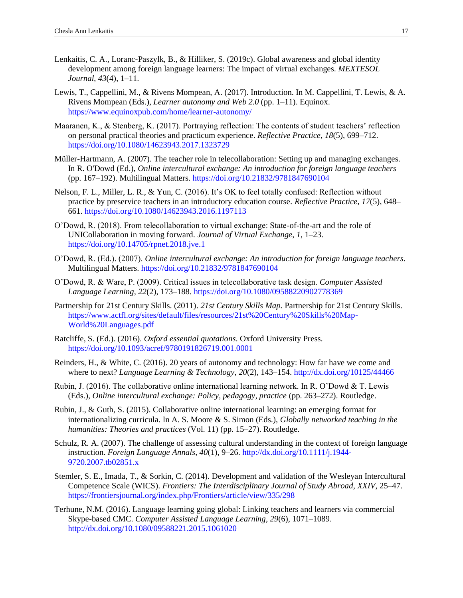- Lenkaitis, C. A., Loranc-Paszylk, B., & Hilliker, S. (2019c). Global awareness and global identity development among foreign language learners: The impact of virtual exchanges. *MEXTESOL Journal*, *43*(4), 1–11.
- Lewis, T., Cappellini, M., & Rivens Mompean, A. (2017). Introduction. In M. Cappellini, T. Lewis, & A. Rivens Mompean (Eds.), *Learner autonomy and Web 2.0* (pp. 1–11). Equinox. <https://www.equinoxpub.com/home/learner-autonomy/>
- Maaranen, K., & Stenberg, K. (2017). Portraying reflection: The contents of student teachers' reflection on personal practical theories and practicum experience. *Reflective Practice*, *18*(5), 699–712. <https://doi.org/10.1080/14623943.2017.1323729>
- Müller-Hartmann, A. (2007). The teacher role in telecollaboration: Setting up and managing exchanges. In R. O'Dowd (Ed.), *Online intercultural exchange: An introduction for foreign language teachers* (pp. 167–192). Multilingual Matters[. https://doi.org/10.21832/9781847690104](https://doi.org/10.21832/9781847690104)
- Nelson, F. L., Miller, L. R., & Yun, C. (2016). It's OK to feel totally confused: Reflection without practice by preservice teachers in an introductory education course. *Reflective Practice*, *17*(5), 648– 661.<https://doi.org/10.1080/14623943.2016.1197113>
- O'Dowd, R. (2018). From telecollaboration to virtual exchange: State-of-the-art and the role of UNICollaboration in moving forward. *Journal of Virtual Exchange*, *1*, 1–23. <https://doi.org/10.14705/rpnet.2018.jve.1>
- O'Dowd, R. (Ed.). (2007). *Online intercultural exchange: An introduction for foreign language teachers*. Multilingual Matters.<https://doi.org/10.21832/9781847690104>
- O'Dowd, R. & Ware, P. (2009). Critical issues in telecollaborative task design. *Computer Assisted Language Learning*, *22*(2), 173–188.<https://doi.org/10.1080/09588220902778369>
- Partnership for 21st Century Skills. (2011). *21st Century Skills Map.* Partnership for 21st Century Skills. [https://www.actfl.org/sites/default/files/resources/21st%20Century%20Skills%20Map-](https://www.actfl.org/sites/default/files/resources/21st%20Century%20Skills%20Map-World%20Languages.pdf)[World%20Languages.pdf](https://www.actfl.org/sites/default/files/resources/21st%20Century%20Skills%20Map-World%20Languages.pdf)
- Ratcliffe, S. (Ed.). (2016). *Oxford essential quotations*. Oxford University Press. <https://doi.org/10.1093/acref/9780191826719.001.0001>
- Reinders, H., & White, C. (2016). 20 years of autonomy and technology: How far have we come and where to next? *Language Learning & Technology*, *20*(2), 143–154.<http://dx.doi.org/10125/44466>
- Rubin, J. (2016). The collaborative online international learning network. In R. O'Dowd & T. Lewis (Eds.), *Online intercultural exchange: Policy, pedagogy, practice* (pp. 263–272). Routledge.
- Rubin, J., & Guth, S. (2015). Collaborative online international learning: an emerging format for internationalizing curricula. In A. S. Moore & S. Simon (Eds.), *Globally networked teaching in the humanities: Theories and practices* (Vol. 11) (pp. 15–27). Routledge.
- Schulz, R. A. (2007). The challenge of assessing cultural understanding in the context of foreign language instruction. *Foreign Language Annals*, *40*(1), 9–26. [http://dx.doi.org/10.1111/j.1944-](http://dx.doi.org/10.1111/j.1944-9720.2007.tb02851.x) [9720.2007.tb02851.x](http://dx.doi.org/10.1111/j.1944-9720.2007.tb02851.x)
- Stemler, S. E., Imada, T., & Sorkin, C. (2014). Development and validation of the Wesleyan Intercultural Competence Scale (WICS). *Frontiers: The Interdisciplinary Journal of Study Abroad*, *XXIV*, 25–47. <https://frontiersjournal.org/index.php/Frontiers/article/view/335/298>
- Terhune, N.M. (2016). Language learning going global: Linking teachers and learners via commercial Skype-based CMC. *Computer Assisted Language Learning*, *29*(6), 1071–1089. <http://dx.doi.org/10.1080/09588221.2015.1061020>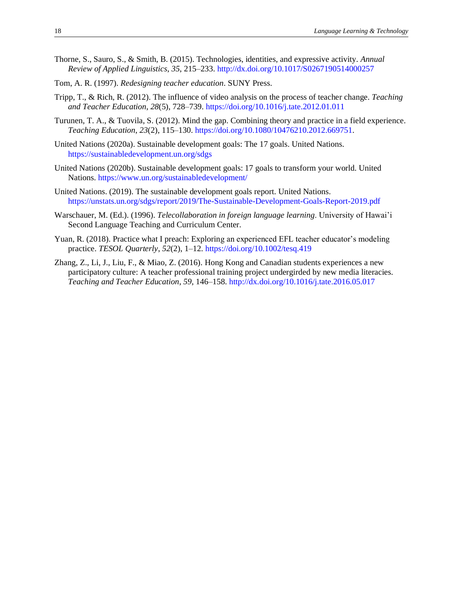- Thorne, S., Sauro, S., & Smith, B. (2015). Technologies, identities, and expressive activity. *Annual Review of Applied Linguistics*, *35*, 215–233.<http://dx.doi.org/10.1017/S0267190514000257>
- Tom, A. R. (1997). *Redesigning teacher education*. SUNY Press.
- Tripp, T., & Rich, R. (2012). The influence of video analysis on the process of teacher change. *Teaching and Teacher Education*, *28*(5), 728–739.<https://doi.org/10.1016/j.tate.2012.01.011>
- Turunen, T. A., & Tuovila, S. (2012). Mind the gap. Combining theory and practice in a field experience. *Teaching Education*, *23*(2), 115–130[. https://doi.org/10.1080/10476210.2012.669751.](https://doi.org/10.1080/10476210.2012.669751)
- United Nations (2020a). Sustainable development goals: The 17 goals. United Nations. <https://sustainabledevelopment.un.org/sdgs>
- United Nations (2020b). Sustainable development goals: 17 goals to transform your world. United Nations[. https://www.un.org/sustainabledevelopment/](https://www.un.org/sustainabledevelopment/)
- United Nations. (2019). The sustainable development goals report. United Nations. <https://unstats.un.org/sdgs/report/2019/The-Sustainable-Development-Goals-Report-2019.pdf>
- Warschauer, M. (Ed.). (1996). *Telecollaboration in foreign language learning*. University of Hawai'i Second Language Teaching and Curriculum Center.
- Yuan, R. (2018). Practice what I preach: Exploring an experienced EFL teacher educator's modeling practice. *TESOL Quarterly*, *52*(2), 1–12.<https://doi.org/10.1002/tesq.419>
- Zhang, Z., Li, J., Liu, F., & Miao, Z. (2016). Hong Kong and Canadian students experiences a new participatory culture: A teacher professional training project undergirded by new media literacies. *Teaching and Teacher Education*, *59*, 146–158.<http://dx.doi.org/10.1016/j.tate.2016.05.017>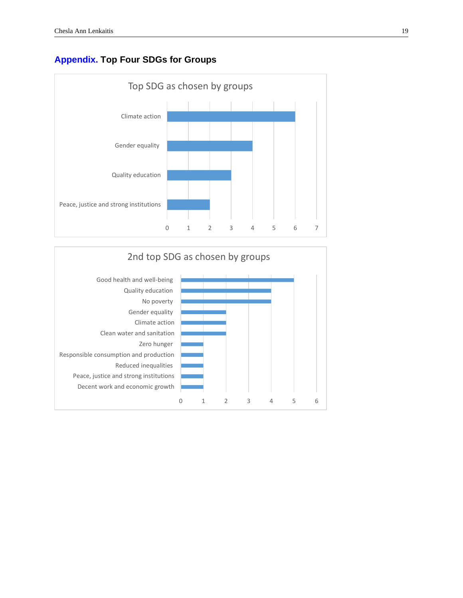# <span id="page-18-0"></span>**[Appendix.](#page-6-6) Top Four SDGs for Groups**